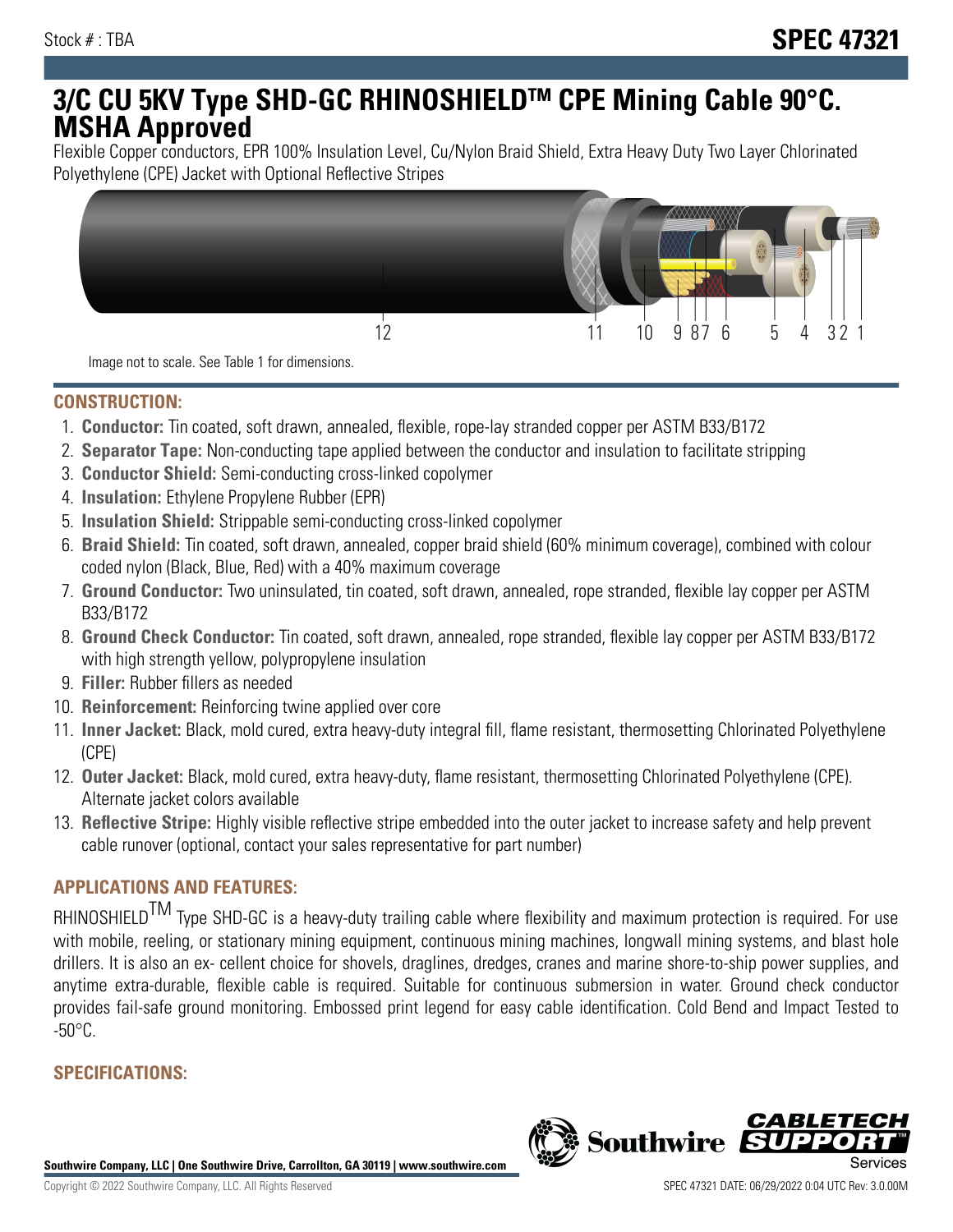# **3/C CU 5KV Type SHD-GC RHINOSHIELDTM CPE Mining Cable 90°C. MSHA Approved**

Flexible Copper conductors, EPR 100% Insulation Level, Cu/Nylon Braid Shield, Extra Heavy Duty Two Layer Chlorinated Polyethylene (CPE) Jacket with Optional Reflective Stripes



Image not to scale. See Table 1 for dimensions.

#### **CONSTRUCTION:**

- 1. **Conductor:** Tin coated, soft drawn, annealed, flexible, rope-lay stranded copper per ASTM B33/B172
- 2. **Separator Tape:** Non-conducting tape applied between the conductor and insulation to facilitate stripping
- 3. **Conductor Shield:** Semi-conducting cross-linked copolymer
- 4. **Insulation:** Ethylene Propylene Rubber (EPR)
- 5. **Insulation Shield:** Strippable semi-conducting cross-linked copolymer
- 6. **Braid Shield:** Tin coated, soft drawn, annealed, copper braid shield (60% minimum coverage), combined with colour coded nylon (Black, Blue, Red) with a 40% maximum coverage
- 7. **Ground Conductor:** Two uninsulated, tin coated, soft drawn, annealed, rope stranded, flexible lay copper per ASTM B33/B172
- 8. **Ground Check Conductor:** Tin coated, soft drawn, annealed, rope stranded, flexible lay copper per ASTM B33/B172 with high strength yellow, polypropylene insulation
- 9. **Filler:** Rubber fillers as needed
- 10. **Reinforcement:** Reinforcing twine applied over core
- 11. **Inner Jacket:** Black, mold cured, extra heavy-duty integral fill, flame resistant, thermosetting Chlorinated Polyethylene (CPE)
- 12. **Outer Jacket:** Black, mold cured, extra heavy-duty, flame resistant, thermosetting Chlorinated Polyethylene (CPE). Alternate jacket colors available
- 13. **Reflective Stripe:** Highly visible reflective stripe embedded into the outer jacket to increase safety and help prevent cable runover (optional, contact your sales representative for part number)

# **APPLICATIONS AND FEATURES:**

RHINOSHIELD<sup>TM</sup> Type SHD-GC is a heavy-duty trailing cable where flexibility and maximum protection is required. For use with mobile, reeling, or stationary mining equipment, continuous mining machines, longwall mining systems, and blast hole drillers. It is also an ex- cellent choice for shovels, draglines, dredges, cranes and marine shore-to-ship power supplies, and anytime extra-durable, flexible cable is required. Suitable for continuous submersion in water. Ground check conductor provides fail-safe ground monitoring. Embossed print legend for easy cable identification. Cold Bend and Impact Tested to  $-50^{\circ}$ C.

## **SPECIFICATIONS:**

**Southwire Company, LLC | One Southwire Drive, Carrollton, GA 30119 | www.southwire.com**

**Southwire** 

*CABL*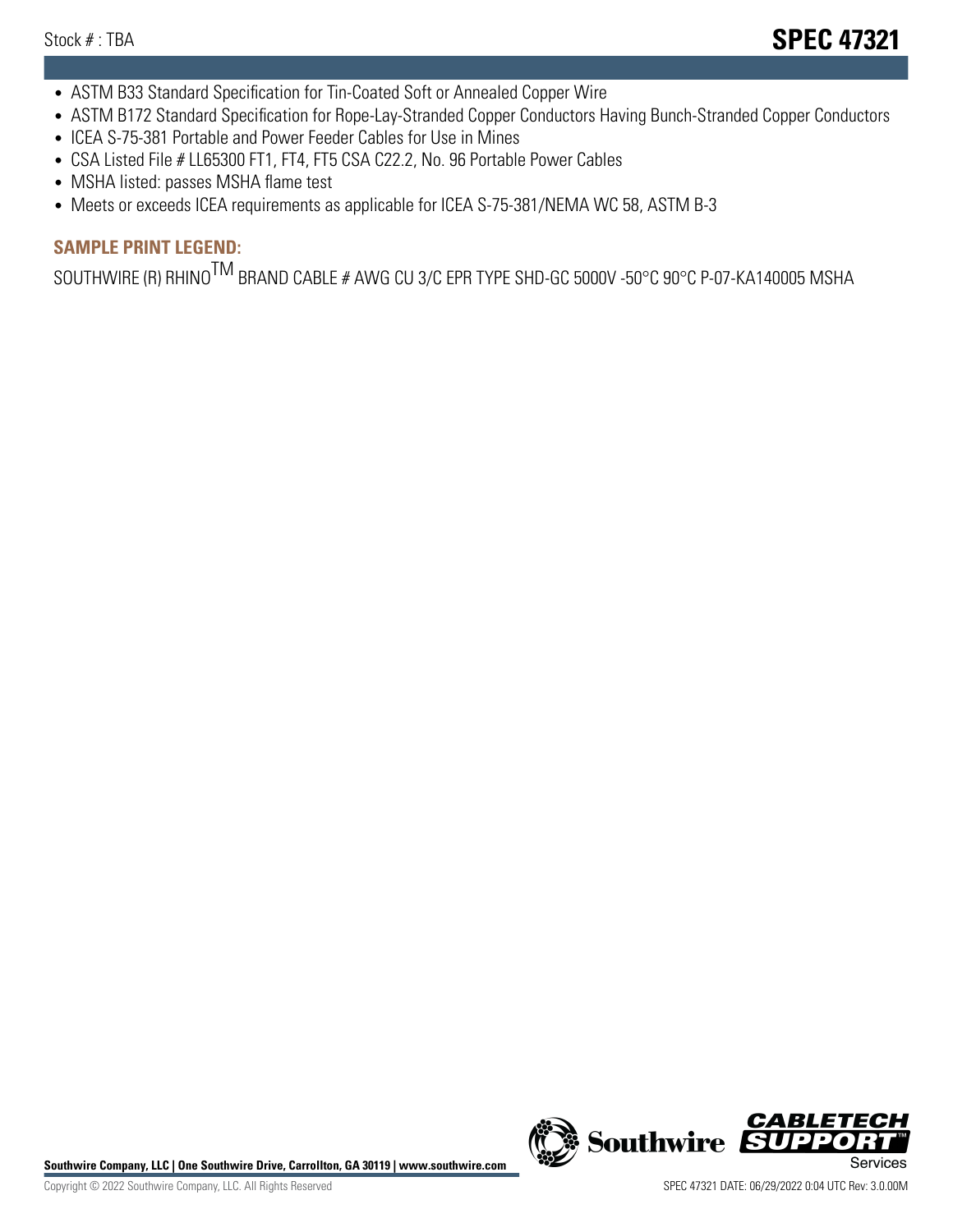- ASTM B33 Standard Specification for Tin-Coated Soft or Annealed Copper Wire
- ASTM B172 Standard Specification for Rope-Lay-Stranded Copper Conductors Having Bunch-Stranded Copper Conductors
- ICEA S-75-381 Portable and Power Feeder Cables for Use in Mines
- CSA Listed File # LL65300 FT1, FT4, FT5 CSA C22.2, No. 96 Portable Power Cables
- MSHA listed: passes MSHA flame test
- Meets or exceeds ICEA requirements as applicable for ICEA S-75-381/NEMA WC 58, ASTM B-3

# **SAMPLE PRINT LEGEND:**

SOUTHWIRE (R) RHINO<sup>TM</sup> BRAND CABLE # AWG CU 3/C EPR TYPE SHD-GC 5000V -50°C 90°C P-07-KA140005 MSHA

Southwire Company, LLC | One Southwire Drive, Carrollton, GA 30119 | www.southwire.com **Second Company, COVID Services** 



CABL